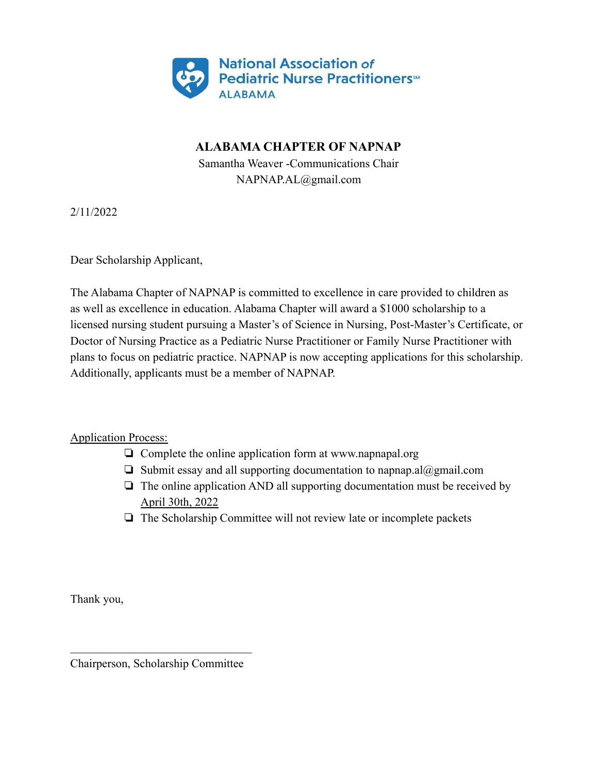

## **ALABAMA CHAPTER OF NAPNAP**

Samantha Weaver -Communications Chair NAPNAP.AL@gmail.com

2/11/2022

Dear Scholarship Applicant,

The Alabama Chapter of NAPNAP is committed to excellence in care provided to children as as well as excellence in education. Alabama Chapter will award a \$1000 scholarship to a licensed nursing student pursuing a Master's of Science in Nursing, Post-Master's Certificate, or Doctor of Nursing Practice as a Pediatric Nurse Practitioner or Family Nurse Practitioner with plans to focus on pediatric practice. NAPNAP is now accepting applications for this scholarship. Additionally, applicants must be a member of NAPNAP.

Application Process:

- ❏ Complete the online application form at www.napnapal.org
- $\Box$  Submit essay and all supporting documentation to napnap.al $\omega$ gmail.com
- ❏ The online application AND all supporting documentation must be received by April 30th, 2022
- ❏ The Scholarship Committee will not review late or incomplete packets

Thank you,

 $\mathcal{L}_\text{max}$ Chairperson, Scholarship Committee